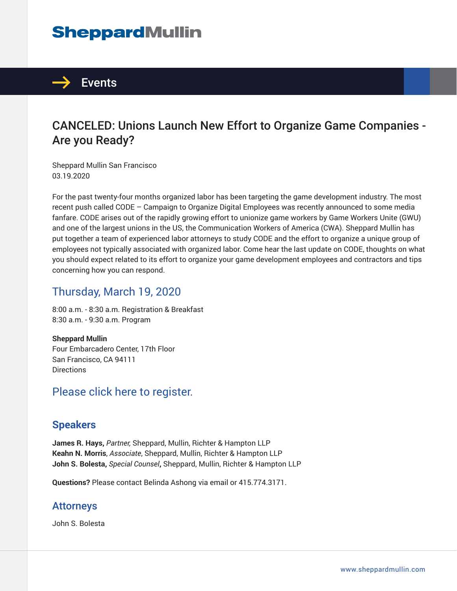# **SheppardMullin**



## CANCELED: Unions Launch New Effort to Organize Game Companies - Are you Ready?

Sheppard Mullin San Francisco 03.19.2020

For the past twenty-four months organized labor has been targeting the game development industry. The most recent push called CODE – Campaign to Organize Digital Employees was recently announced to some media fanfare. CODE arises out of the rapidly growing effort to unionize game workers by Game Workers Unite (GWU) and one of the largest unions in the US, the Communication Workers of America (CWA). Sheppard Mullin has put together a team of experienced labor attorneys to study CODE and the effort to organize a unique group of employees not typically associated with organized labor. Come hear the last update on CODE, thoughts on what you should expect related to its effort to organize your game development employees and contractors and tips concerning how you can respond.

### Thursday, March 19, 2020

8:00 a.m. - 8:30 a.m. Registration & Breakfast 8:30 a.m. - 9:30 a.m. Program

**Sheppard Mullin** Four Embarcadero Center, 17th Floor San Francisco, CA 94111 **Directions** 

### Please click here to register.

#### **Speakers**

**James R. Hays,** *Partner,* Sheppard, Mullin, Richter & Hampton LLP **Keahn N. Morris**, *Associate*, Sheppard, Mullin, Richter & Hampton LLP **John S. Bolesta,** *Special Counsel***,** Sheppard, Mullin, Richter & Hampton LLP

**Questions?** Please contact Belinda Ashong via email or 415.774.3171.

#### Attorneys

John S. Bolesta